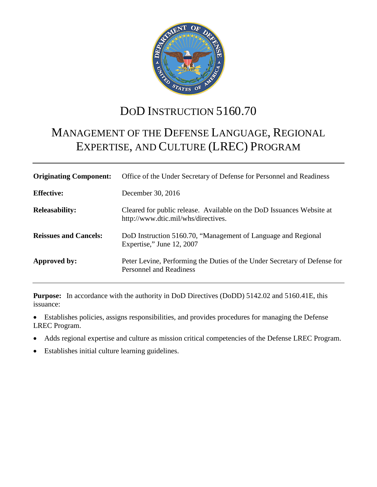

# DOD INSTRUCTION 5160.70

# MANAGEMENT OF THE DEFENSE LANGUAGE, REGIONAL EXPERTISE, AND CULTURE (LREC) PROGRAM

| <b>Originating Component:</b> | Office of the Under Secretary of Defense for Personnel and Readiness                                         |  |
|-------------------------------|--------------------------------------------------------------------------------------------------------------|--|
| <b>Effective:</b>             | December 30, 2016                                                                                            |  |
| <b>Releasability:</b>         | Cleared for public release. Available on the DoD Issuances Website at<br>http://www.dtic.mil/whs/directives. |  |
| <b>Reissues and Cancels:</b>  | DoD Instruction 5160.70, "Management of Language and Regional<br>Expertise," June 12, 2007                   |  |
| Approved by:                  | Peter Levine, Performing the Duties of the Under Secretary of Defense for<br><b>Personnel and Readiness</b>  |  |

**Purpose:** In accordance with the authority in DoD Directives (DoDD) 5142.02 and 5160.41E, this issuance:

• Establishes policies, assigns responsibilities, and provides procedures for managing the Defense LREC Program.

- Adds regional expertise and culture as mission critical competencies of the Defense LREC Program.
- Establishes initial culture learning guidelines.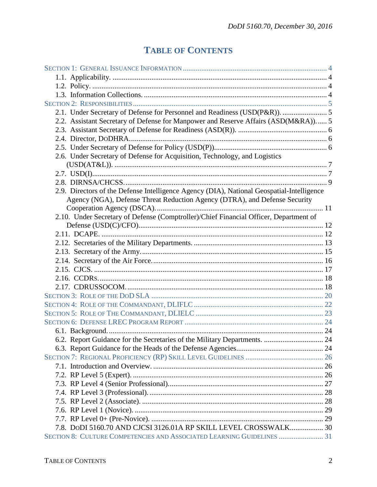# **TABLE OF CONTENTS**

| 2.1. Under Secretary of Defense for Personnel and Readiness (USD(P&R)).  5                |  |
|-------------------------------------------------------------------------------------------|--|
| 2.2. Assistant Secretary of Defense for Manpower and Reserve Affairs (ASD(M&RA)) 5        |  |
|                                                                                           |  |
|                                                                                           |  |
|                                                                                           |  |
| 2.6. Under Secretary of Defense for Acquisition, Technology, and Logistics                |  |
|                                                                                           |  |
|                                                                                           |  |
|                                                                                           |  |
| 2.9. Directors of the Defense Intelligence Agency (DIA), National Geospatial-Intelligence |  |
| Agency (NGA), Defense Threat Reduction Agency (DTRA), and Defense Security                |  |
|                                                                                           |  |
| 2.10. Under Secretary of Defense (Comptroller)/Chief Financial Officer, Department of     |  |
|                                                                                           |  |
|                                                                                           |  |
|                                                                                           |  |
|                                                                                           |  |
|                                                                                           |  |
|                                                                                           |  |
|                                                                                           |  |
|                                                                                           |  |
|                                                                                           |  |
|                                                                                           |  |
|                                                                                           |  |
|                                                                                           |  |
|                                                                                           |  |
|                                                                                           |  |
|                                                                                           |  |
|                                                                                           |  |
|                                                                                           |  |
|                                                                                           |  |
|                                                                                           |  |
|                                                                                           |  |
|                                                                                           |  |
|                                                                                           |  |
|                                                                                           |  |
| 7.8. DoDI 5160.70 AND CJCSI 3126.01A RP SKILL LEVEL CROSSWALK 30                          |  |
| SECTION 8: CULTURE COMPETENCIES AND ASSOCIATED LEARNING GUIDELINES 31                     |  |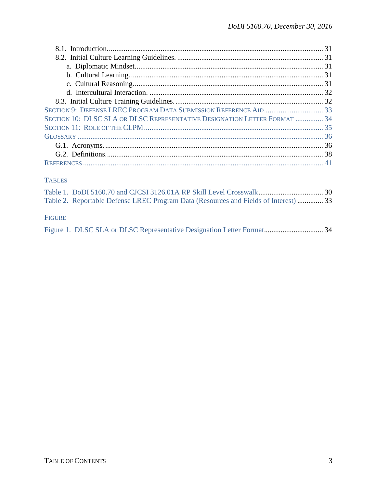| SECTION 10: DLSC SLA OR DLSC REPRESENTATIVE DESIGNATION LETTER FORMAT  34 |  |
|---------------------------------------------------------------------------|--|
|                                                                           |  |
|                                                                           |  |
|                                                                           |  |
|                                                                           |  |
|                                                                           |  |

### **TABLES**

|               | Table 2. Reportable Defense LREC Program Data (Resources and Fields of Interest) 33 |  |
|---------------|-------------------------------------------------------------------------------------|--|
|               |                                                                                     |  |
| <b>FIGURE</b> |                                                                                     |  |
|               |                                                                                     |  |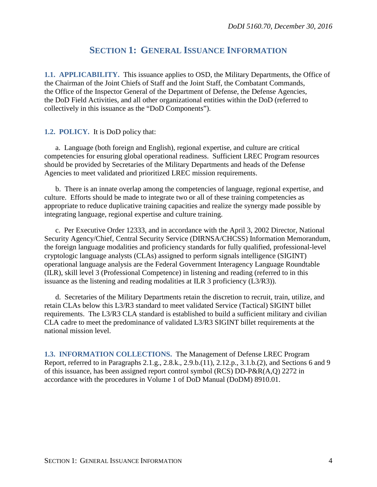### **SECTION 1: GENERAL ISSUANCE INFORMATION**

<span id="page-3-1"></span><span id="page-3-0"></span>**1.1. APPLICABILITY.** This issuance applies to OSD, the Military Departments, the Office of the Chairman of the Joint Chiefs of Staff and the Joint Staff, the Combatant Commands, the Office of the Inspector General of the Department of Defense, the Defense Agencies, the DoD Field Activities, and all other organizational entities within the DoD (referred to collectively in this issuance as the "DoD Components").

#### <span id="page-3-2"></span>**1.2. POLICY.** It is DoD policy that:

a. Language (both foreign and English), regional expertise, and culture are critical competencies for ensuring global operational readiness. Sufficient LREC Program resources should be provided by Secretaries of the Military Departments and heads of the Defense Agencies to meet validated and prioritized LREC mission requirements.

b. There is an innate overlap among the competencies of language, regional expertise, and culture. Efforts should be made to integrate two or all of these training competencies as appropriate to reduce duplicative training capacities and realize the synergy made possible by integrating language, regional expertise and culture training.

c. Per Executive Order 12333, and in accordance with the April 3, 2002 Director, National Security Agency/Chief, Central Security Service (DIRNSA/CHCSS) Information Memorandum, the foreign language modalities and proficiency standards for fully qualified, professional-level cryptologic language analysts (CLAs) assigned to perform signals intelligence (SIGINT) operational language analysis are the Federal Government Interagency Language Roundtable (ILR), skill level 3 (Professional Competence) in listening and reading (referred to in this issuance as the listening and reading modalities at ILR 3 proficiency (L3/R3)).

d. Secretaries of the Military Departments retain the discretion to recruit, train, utilize, and retain CLAs below this L3/R3 standard to meet validated Service (Tactical) SIGINT billet requirements. The L3/R3 CLA standard is established to build a sufficient military and civilian CLA cadre to meet the predominance of validated L3/R3 SIGINT billet requirements at the national mission level.

<span id="page-3-3"></span>**1.3. INFORMATION COLLECTIONS.** The Management of Defense LREC Program Report, referred to in Paragraphs 2.1.g., 2.8.k., 2.9.b.(11), 2.12.p., 3.1.b.(2), and Sections 6 and 9 of this issuance, has been assigned report control symbol (RCS) DD-P&R(A,Q) 2272 in accordance with the procedures in Volume 1 of DoD Manual (DoDM) 8910.01.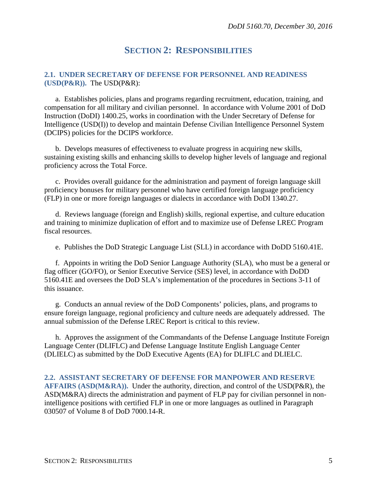### **SECTION 2: RESPONSIBILITIES**

#### <span id="page-4-1"></span><span id="page-4-0"></span>**2.1. UNDER SECRETARY OF DEFENSE FOR PERSONNEL AND READINESS (USD(P&R)).** The USD(P&R):

a. Establishes policies, plans and programs regarding recruitment, education, training, and compensation for all military and civilian personnel. In accordance with Volume 2001 of DoD Instruction (DoDI) 1400.25, works in coordination with the Under Secretary of Defense for Intelligence (USD(I)) to develop and maintain Defense Civilian Intelligence Personnel System (DCIPS) policies for the DCIPS workforce.

b. Develops measures of effectiveness to evaluate progress in acquiring new skills, sustaining existing skills and enhancing skills to develop higher levels of language and regional proficiency across the Total Force.

c. Provides overall guidance for the administration and payment of foreign language skill proficiency bonuses for military personnel who have certified foreign language proficiency (FLP) in one or more foreign languages or dialects in accordance with DoDI 1340.27.

d. Reviews language (foreign and English) skills, regional expertise, and culture education and training to minimize duplication of effort and to maximize use of Defense LREC Program fiscal resources.

e. Publishes the DoD Strategic Language List (SLL) in accordance with DoDD 5160.41E.

f. Appoints in writing the DoD Senior Language Authority (SLA), who must be a general or flag officer (GO/FO), or Senior Executive Service (SES) level, in accordance with DoDD 5160.41E and oversees the DoD SLA's implementation of the procedures in Sections 3-11 of this issuance.

g. Conducts an annual review of the DoD Components' policies, plans, and programs to ensure foreign language, regional proficiency and culture needs are adequately addressed. The annual submission of the Defense LREC Report is critical to this review.

h. Approves the assignment of the Commandants of the Defense Language Institute Foreign Language Center (DLIFLC) and Defense Language Institute English Language Center (DLIELC) as submitted by the DoD Executive Agents (EA) for DLIFLC and DLIELC.

<span id="page-4-2"></span>**2.2. ASSISTANT SECRETARY OF DEFENSE FOR MANPOWER AND RESERVE AFFAIRS (ASD(M&RA)).** Under the authority, direction, and control of the USD(P&R), the ASD(M&RA) directs the administration and payment of FLP pay for civilian personnel in nonintelligence positions with certified FLP in one or more languages as outlined in Paragraph 030507 of Volume 8 of DoD 7000.14-R.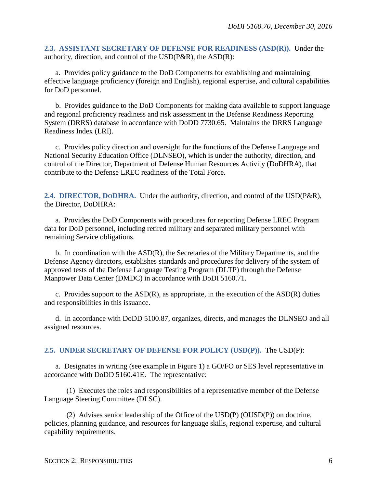<span id="page-5-0"></span>**2.3. ASSISTANT SECRETARY OF DEFENSE FOR READINESS (ASD(R)).** Under the authority, direction, and control of the USD(P&R), the ASD(R):

a. Provides policy guidance to the DoD Components for establishing and maintaining effective language proficiency (foreign and English), regional expertise, and cultural capabilities for DoD personnel.

b. Provides guidance to the DoD Components for making data available to support language and regional proficiency readiness and risk assessment in the Defense Readiness Reporting System (DRRS) database in accordance with DoDD 7730.65. Maintains the DRRS Language Readiness Index (LRI).

c. Provides policy direction and oversight for the functions of the Defense Language and National Security Education Office (DLNSEO), which is under the authority, direction, and control of the Director, Department of Defense Human Resources Activity (DoDHRA), that contribute to the Defense LREC readiness of the Total Force.

<span id="page-5-1"></span>**2.4. DIRECTOR, DODHRA.** Under the authority, direction, and control of the USD(P&R), the Director, DoDHRA:

a. Provides the DoD Components with procedures for reporting Defense LREC Program data for DoD personnel, including retired military and separated military personnel with remaining Service obligations.

b. In coordination with the ASD(R), the Secretaries of the Military Departments, and the Defense Agency directors, establishes standards and procedures for delivery of the system of approved tests of the Defense Language Testing Program (DLTP) through the Defense Manpower Data Center (DMDC) in accordance with DoDI 5160.71.

c. Provides support to the  $ASD(R)$ , as appropriate, in the execution of the  $ASD(R)$  duties and responsibilities in this issuance.

d. In accordance with DoDD 5100.87, organizes, directs, and manages the DLNSEO and all assigned resources.

#### <span id="page-5-2"></span>**2.5. UNDER SECRETARY OF DEFENSE FOR POLICY (USD(P)).** The USD(P):

a. Designates in writing (see example in Figure 1) a GO/FO or SES level representative in accordance with DoDD 5160.41E. The representative:

(1) Executes the roles and responsibilities of a representative member of the Defense Language Steering Committee (DLSC).

(2) Advises senior leadership of the Office of the USD(P) (OUSD(P)) on doctrine, policies, planning guidance, and resources for language skills, regional expertise, and cultural capability requirements.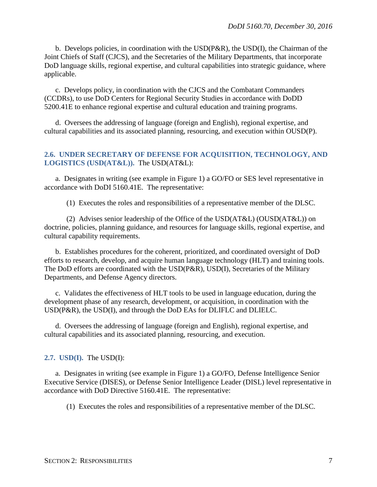b. Develops policies, in coordination with the USD(P&R), the USD(I), the Chairman of the Joint Chiefs of Staff (CJCS), and the Secretaries of the Military Departments, that incorporate DoD language skills*,* regional expertise, and cultural capabilities into strategic guidance, where applicable.

c. Develops policy, in coordination with the CJCS and the Combatant Commanders (CCDRs), to use DoD Centers for Regional Security Studies in accordance with DoDD 5200.41E to enhance regional expertise and cultural education and training programs.

d. Oversees the addressing of language (foreign and English), regional expertise, and cultural capabilities and its associated planning, resourcing, and execution within OUSD(P).

#### <span id="page-6-0"></span>**2.6. UNDER SECRETARY OF DEFENSE FOR ACQUISITION, TECHNOLOGY, AND LOGISTICS (USD(AT&L)).** The USD(AT&L):

a. Designates in writing (see example in Figure 1) a GO/FO or SES level representative in accordance with DoDI 5160.41E. The representative:

(1) Executes the roles and responsibilities of a representative member of the DLSC.

(2) Advises senior leadership of the Office of the USD( $AT&L$ ) (OUSD( $AT&L$ )) on doctrine, policies, planning guidance, and resources for language skills, regional expertise, and cultural capability requirements.

b. Establishes procedures for the coherent, prioritized, and coordinated oversight of DoD efforts to research, develop, and acquire human language technology (HLT) and training tools. The DoD efforts are coordinated with the USD(P&R), USD(I), Secretaries of the Military Departments, and Defense Agency directors.

c. Validates the effectiveness of HLT tools to be used in language education, during the development phase of any research, development, or acquisition, in coordination with the USD(P&R), the USD(I), and through the DoD EAs for DLIFLC and DLIELC.

d. Oversees the addressing of language (foreign and English), regional expertise, and cultural capabilities and its associated planning, resourcing, and execution.

<span id="page-6-1"></span>**2.7. USD(I).** The USD(I):

a. Designates in writing (see example in Figure 1) a GO/FO, Defense Intelligence Senior Executive Service (DISES), or Defense Senior Intelligence Leader (DISL) level representative in accordance with DoD Directive 5160.41E. The representative:

(1) Executes the roles and responsibilities of a representative member of the DLSC.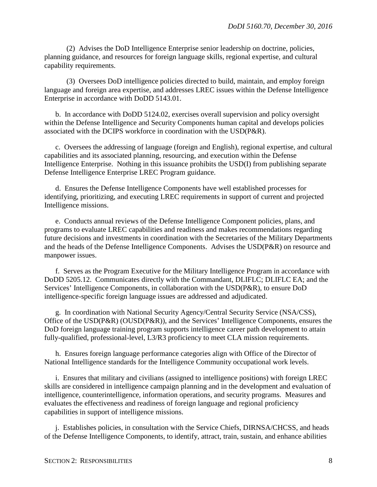(2) Advises the DoD Intelligence Enterprise senior leadership on doctrine, policies, planning guidance, and resources for foreign language skills, regional expertise, and cultural capability requirements.

(3) Oversees DoD intelligence policies directed to build, maintain, and employ foreign language and foreign area expertise, and addresses LREC issues within the Defense Intelligence Enterprise in accordance with DoDD 5143.01.

b. In accordance with DoDD 5124.02, exercises overall supervision and policy oversight within the Defense Intelligence and Security Components human capital and develops policies associated with the DCIPS workforce in coordination with the USD(P&R).

c. Oversees the addressing of language (foreign and English), regional expertise, and cultural capabilities and its associated planning, resourcing, and execution within the Defense Intelligence Enterprise. Nothing in this issuance prohibits the USD(I) from publishing separate Defense Intelligence Enterprise LREC Program guidance.

d. Ensures the Defense Intelligence Components have well established processes for identifying, prioritizing, and executing LREC requirements in support of current and projected Intelligence missions.

e. Conducts annual reviews of the Defense Intelligence Component policies, plans, and programs to evaluate LREC capabilities and readiness and makes recommendations regarding future decisions and investments in coordination with the Secretaries of the Military Departments and the heads of the Defense Intelligence Components. Advises the USD(P&R) on resource and manpower issues.

f. Serves as the Program Executive for the Military Intelligence Program in accordance with DoDD 5205.12. Communicates directly with the Commandant, DLIFLC; DLIFLC EA; and the Services' Intelligence Components, in collaboration with the USD(P&R), to ensure DoD intelligence-specific foreign language issues are addressed and adjudicated.

g. In coordination with National Security Agency/Central Security Service (NSA/CSS), Office of the USD(P&R) (OUSD(P&R)), and the Services' Intelligence Components, ensures the DoD foreign language training program supports intelligence career path development to attain fully-qualified, professional-level, L3/R3 proficiency to meet CLA mission requirements.

h. Ensures foreign language performance categories align with Office of the Director of National Intelligence standards for the Intelligence Community occupational work levels.

i. Ensures that military and civilians (assigned to intelligence positions) with foreign LREC skills are considered in intelligence campaign planning and in the development and evaluation of intelligence, counterintelligence, information operations, and security programs. Measures and evaluates the effectiveness and readiness of foreign language and regional proficiency capabilities in support of intelligence missions.

j. Establishes policies, in consultation with the Service Chiefs, DIRNSA/CHCSS, and heads of the Defense Intelligence Components, to identify, attract, train, sustain, and enhance abilities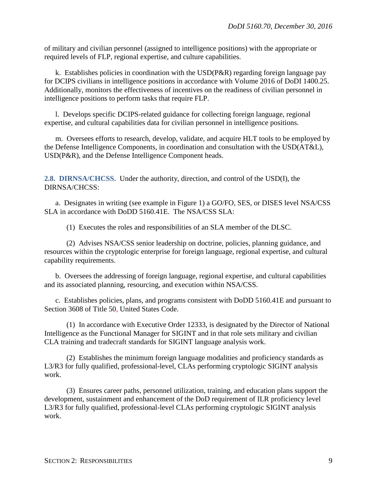of military and civilian personnel (assigned to intelligence positions) with the appropriate or required levels of FLP, regional expertise, and culture capabilities.

k. Establishes policies in coordination with the USD(P&R) regarding foreign language pay for DCIPS civilians in intelligence positions in accordance with Volume 2016 of DoDI 1400.25. Additionally, monitors the effectiveness of incentives on the readiness of civilian personnel in intelligence positions to perform tasks that require FLP.

l. Develops specific DCIPS-related guidance for collecting foreign language, regional expertise, and cultural capabilities data for civilian personnel in intelligence positions.

m. Oversees efforts to research, develop, validate, and acquire HLT tools to be employed by the Defense Intelligence Components, in coordination and consultation with the USD(AT&L), USD(P&R), and the Defense Intelligence Component heads.

<span id="page-8-0"></span>**2.8. DIRNSA/CHCSS.** Under the authority, direction, and control of the USD(I), the DIRNSA/CHCSS:

a. Designates in writing (see example in Figure 1) a GO/FO, SES, or DISES level NSA/CSS SLA in accordance with DoDD 5160.41E. The NSA/CSS SLA:

(1) Executes the roles and responsibilities of an SLA member of the DLSC.

(2) Advises NSA/CSS senior leadership on doctrine, policies, planning guidance, and resources within the cryptologic enterprise for foreign language, regional expertise, and cultural capability requirements.

b. Oversees the addressing of foreign language, regional expertise, and cultural capabilities and its associated planning, resourcing, and execution within NSA/CSS.

c. Establishes policies, plans, and programs consistent with DoDD 5160.41E and pursuant to Section 3608 of Title 50, United States Code.

(1) In accordance with Executive Order 12333, is designated by the Director of National Intelligence as the Functional Manager for SIGINT and in that role sets military and civilian CLA training and tradecraft standards for SIGINT language analysis work.

(2) Establishes the minimum foreign language modalities and proficiency standards as L3/R3 for fully qualified, professional-level, CLAs performing cryptologic SIGINT analysis work.

(3) Ensures career paths, personnel utilization, training, and education plans support the development, sustainment and enhancement of the DoD requirement of ILR proficiency level L3/R3 for fully qualified, professional-level CLAs performing cryptologic SIGINT analysis work.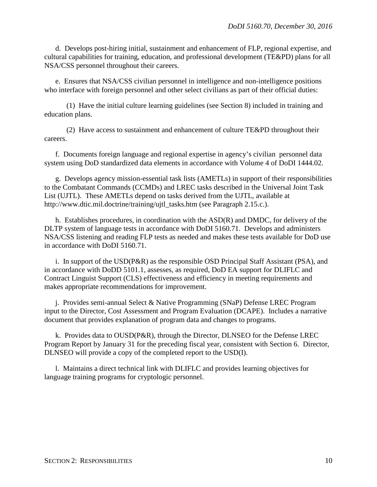d. Develops post-hiring initial, sustainment and enhancement of FLP, regional expertise, and cultural capabilities for training, education, and professional development (TE&PD) plans for all NSA/CSS personnel throughout their careers.

e. Ensures that NSA/CSS civilian personnel in intelligence and non-intelligence positions who interface with foreign personnel and other select civilians as part of their official duties:

(1) Have the initial culture learning guidelines (see Section 8) included in training and education plans.

(2) Have access to sustainment and enhancement of culture TE&PD throughout their careers.

f. Documents foreign language and regional expertise in agency's civilian personnel data system using DoD standardized data elements in accordance with Volume 4 of DoDI 1444.02.

g. Develops agency mission-essential task lists (AMETLs) in support of their responsibilities to the Combatant Commands (CCMDs) and LREC tasks described in the Universal Joint Task List (UJTL). These AMETLs depend on tasks derived from the UJTL, available at [http://www.dtic.mil.doctrine/training/ujtl\\_tasks.htm](http://www.dtic.mil.doctrine/training/ujtl_tasks.htm) (see Paragraph 2.15.c.).

h. Establishes procedures, in coordination with the ASD(R) and DMDC, for delivery of the DLTP system of language tests in accordance with DoDI 5160.71. Develops and administers NSA/CSS listening and reading FLP tests as needed and makes these tests available for DoD use in accordance with DoDI 5160.71.

i. In support of the USD( $P\&R$ ) as the responsible OSD Principal Staff Assistant ( $PSA$ ), and in accordance with DoDD 5101.1, assesses, as required, DoD EA support for DLIFLC and Contract Linguist Support (CLS) effectiveness and efficiency in meeting requirements and makes appropriate recommendations for improvement.

j. Provides semi-annual Select & Native Programming (SNaP) Defense LREC Program input to the Director, Cost Assessment and Program Evaluation (DCAPE). Includes a narrative document that provides explanation of program data and changes to programs.

k. Provides data to OUSD(P&R), through the Director, DLNSEO for the Defense LREC Program Report by January 31 for the preceding fiscal year, consistent with Section 6. Director, DLNSEO will provide a copy of the completed report to the USD(I).

l. Maintains a direct technical link with DLIFLC and provides learning objectives for language training programs for cryptologic personnel.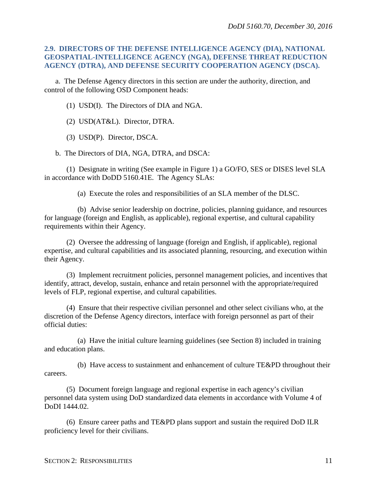### <span id="page-10-0"></span>**2.9. DIRECTORS OF THE DEFENSE INTELLIGENCE AGENCY (DIA), NATIONAL GEOSPATIAL-INTELLIGENCE AGENCY (NGA), DEFENSE THREAT REDUCTION AGENCY (DTRA), AND DEFENSE SECURITY COOPERATION AGENCY (DSCA).**

a. The Defense Agency directors in this section are under the authority, direction, and control of the following OSD Component heads:

(1) USD(I). The Directors of DIA and NGA.

(2) USD(AT&L). Director, DTRA.

(3) USD(P). Director, DSCA.

b. The Directors of DIA, NGA, DTRA, and DSCA:

(1) Designate in writing (See example in Figure 1) a GO/FO, SES or DISES level SLA in accordance with DoDD 5160.41E. The Agency SLAs:

(a) Execute the roles and responsibilities of an SLA member of the DLSC.

(b) Advise senior leadership on doctrine, policies, planning guidance, and resources for language (foreign and English, as applicable), regional expertise, and cultural capability requirements within their Agency.

(2) Oversee the addressing of language (foreign and English, if applicable), regional expertise, and cultural capabilities and its associated planning, resourcing, and execution within their Agency.

(3) Implement recruitment policies, personnel management policies, and incentives that identify, attract, develop, sustain, enhance and retain personnel with the appropriate/required levels of FLP, regional expertise, and cultural capabilities.

(4) Ensure that their respective civilian personnel and other select civilians who, at the discretion of the Defense Agency directors, interface with foreign personnel as part of their official duties:

(a) Have the initial culture learning guidelines (see Section 8) included in training and education plans.

(b) Have access to sustainment and enhancement of culture TE&PD throughout their careers.

(5) Document foreign language and regional expertise in each agency's civilian personnel data system using DoD standardized data elements in accordance with Volume 4 of DoDI 1444.02.

(6) Ensure career paths and TE&PD plans support and sustain the required DoD ILR proficiency level for their civilians.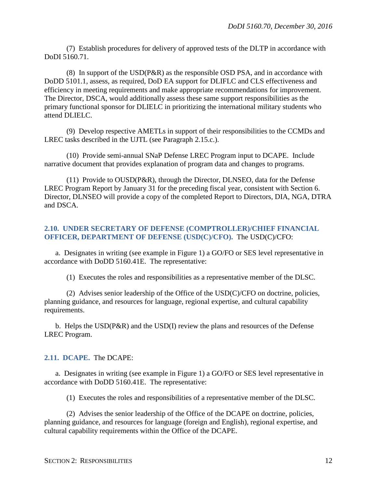(7) Establish procedures for delivery of approved tests of the DLTP in accordance with DoDI 5160.71.

(8) In support of the USD(P&R) as the responsible OSD PSA, and in accordance with DoDD 5101.1, assess, as required, DoD EA support for DLIFLC and CLS effectiveness and efficiency in meeting requirements and make appropriate recommendations for improvement. The Director, DSCA, would additionally assess these same support responsibilities as the primary functional sponsor for DLIELC in prioritizing the international military students who attend DLIELC.

(9) Develop respective AMETLs in support of their responsibilities to the CCMDs and LREC tasks described in the UJTL (see Paragraph 2.15.c.).

(10) Provide semi-annual SNaP Defense LREC Program input to DCAPE. Include narrative document that provides explanation of program data and changes to programs.

(11) Provide to OUSD(P&R), through the Director, DLNSEO, data for the Defense LREC Program Report by January 31 for the preceding fiscal year, consistent with Section 6. Director, DLNSEO will provide a copy of the completed Report to Directors, DIA, NGA, DTRA and DSCA.

### <span id="page-11-0"></span>**2.10. UNDER SECRETARY OF DEFENSE (COMPTROLLER)/CHIEF FINANCIAL OFFICER, DEPARTMENT OF DEFENSE (USD(C)/CFO).** The USD(C)/CFO:

a. Designates in writing (see example in Figure 1) a GO/FO or SES level representative in accordance with DoDD 5160.41E. The representative:

(1) Executes the roles and responsibilities as a representative member of the DLSC.

(2) Advises senior leadership of the Office of the USD(C)/CFO on doctrine, policies, planning guidance, and resources for language, regional expertise, and cultural capability requirements.

b. Helps the USD(P&R) and the USD(I) review the plans and resources of the Defense LREC Program.

### <span id="page-11-1"></span>**2.11. DCAPE.** The DCAPE:

a. Designates in writing (see example in Figure 1) a GO/FO or SES level representative in accordance with DoDD 5160.41E. The representative:

(1) Executes the roles and responsibilities of a representative member of the DLSC.

(2) Advises the senior leadership of the Office of the DCAPE on doctrine, policies, planning guidance, and resources for language (foreign and English), regional expertise, and cultural capability requirements within the Office of the DCAPE.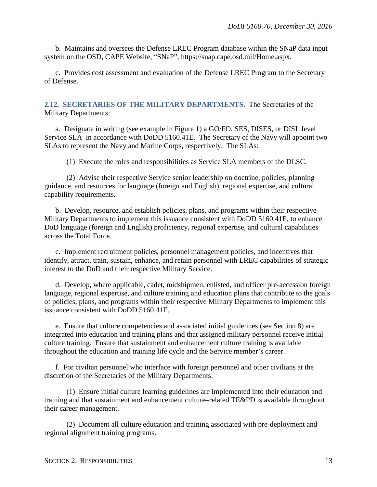b. Maintains and oversees the Defense LREC Program database within the SNaP data input system on the OSD, CAPE Website, "SNaP", https://snap.cape.osd.mil/Home.aspx.

c. Provides cost assessment and evaluation of the Defense LREC Program to the Secretary of Defense.

<span id="page-12-0"></span>**2.12. SECRETARIES OF THE MILITARY DEPARTMENTS.** The Secretaries of the Military Departments:

a. Designate in writing (see example in Figure 1) a GO/FO, SES, DISES, or DISL level Service SLA in accordance with DoDD 5160.41E. The Secretary of the Navy will appoint two SLAs to represent the Navy and Marine Corps, respectively. The SLAs:

(1) Execute the roles and responsibilities as Service SLA members of the DLSC.

(2) Advise their respective Service senior leadership on doctrine, policies, planning guidance, and resources for language (foreign and English), regional expertise, and cultural capability requirements*.*

b. Develop, resource, and establish policies, plans, and programs within their respective Military Departments to implement this issuance consistent with DoDD 5160.41E, to enhance DoD language (foreign and English) proficiency, regional expertise, and cultural capabilities across the Total Force.

c. Implement recruitment policies, personnel management policies, and incentives that identify, attract, train, sustain, enhance, and retain personnel with LREC capabilities of strategic interest to the DoD and their respective Military Service.

d. Develop, where applicable, cadet, midshipmen, enlisted, and officer pre-accession foreign language, regional expertise, and culture training and education plans that contribute to the goals of policies, plans, and programs within their respective Military Departments to implement this issuance consistent with DoDD 5160.41E.

e. Ensure that culture competencies and associated initial guidelines (see Section 8) are integrated into education and training plans and that assigned military personnel receive initial culture training. Ensure that sustainment and enhancement culture training is available throughout the education and training life cycle and the Service member's career.

f. For civilian personnel who interface with foreign personnel and other civilians at the discretion of the Secretaries of the Military Departments:

(1) Ensure initial culture learning guidelines are implemented into their education and training and that sustainment and enhancement culture–related TE&PD is available throughout their career management.

(2) Document all culture education and training associated with pre-deployment and regional alignment training programs.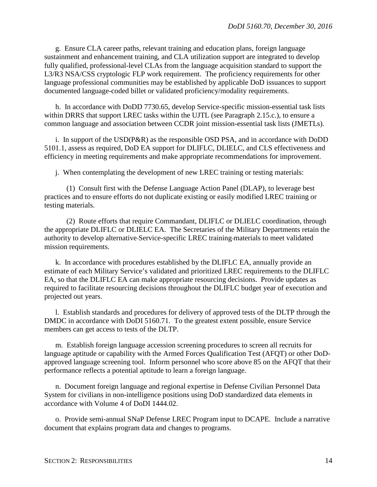g. Ensure CLA career paths, relevant training and education plans, foreign language sustainment and enhancement training, and CLA utilization support are integrated to develop fully qualified, professional-level CLAs from the language acquisition standard to support the L3/R3 NSA/CSS cryptologic FLP work requirement. The proficiency requirements for other language professional communities may be established by applicable DoD issuances to support documented language-coded billet or validated proficiency/modality requirements.

h. In accordance with DoDD 7730.65, develop Service-specific mission-essential task lists within DRRS that support LREC tasks within the UJTL (see Paragraph 2.15.c.), to ensure a common language and association between CCDR joint mission-essential task lists (JMETLs).

i. In support of the USD(P&R) as the responsible OSD PSA, and in accordance with DoDD 5101.1, assess as required, DoD EA support for DLIFLC, DLIELC, and CLS effectiveness and efficiency in meeting requirements and make appropriate recommendations for improvement.

j. When contemplating the development of new LREC training or testing materials:

(1) Consult first with the Defense Language Action Panel (DLAP), to leverage best practices and to ensure efforts do not duplicate existing or easily modified LREC training or testing materials.

(2) Route efforts that require Commandant, DLIFLC or DLIELC coordination, through the appropriate DLIFLC or DLIELC EA. The Secretaries of the Military Departments retain the authority to develop alternative Service-specific LREC training materials to meet validated mission requirements.

k. In accordance with procedures established by the DLIFLC EA, annually provide an estimate of each Military Service's validated and prioritized LREC requirements to the DLIFLC EA, so that the DLIFLC EA can make appropriate resourcing decisions. Provide updates as required to facilitate resourcing decisions throughout the DLIFLC budget year of execution and projected out years.

l. Establish standards and procedures for delivery of approved tests of the DLTP through the DMDC in accordance with DoDI 5160.71. To the greatest extent possible, ensure Service members can get access to tests of the DLTP.

m. Establish foreign language accession screening procedures to screen all recruits for language aptitude or capability with the Armed Forces Qualification Test (AFQT) or other DoDapproved language screening tool. Inform personnel who score above 85 on the AFQT that their performance reflects a potential aptitude to learn a foreign language.

n. Document foreign language and regional expertise in Defense Civilian Personnel Data System for civilians in non-intelligence positions using DoD standardized data elements in accordance with Volume 4 of DoDI 1444.02.

o. Provide semi-annual SNaP Defense LREC Program input to DCAPE. Include a narrative document that explains program data and changes to programs.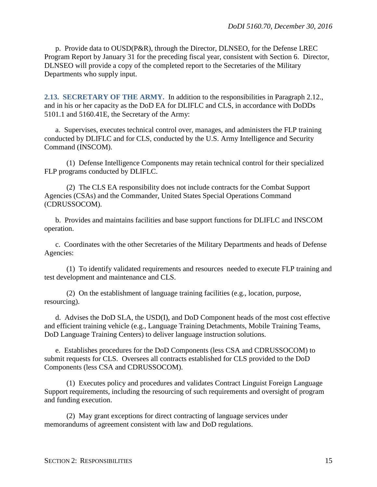p. Provide data to OUSD(P&R), through the Director, DLNSEO, for the Defense LREC Program Report by January 31 for the preceding fiscal year, consistent with Section 6. Director, DLNSEO will provide a copy of the completed report to the Secretaries of the Military Departments who supply input.

<span id="page-14-0"></span>**2.13. SECRETARY OF THE ARMY.** In addition to the responsibilities in Paragraph 2.12., and in his or her capacity as the DoD EA for DLIFLC and CLS, in accordance with DoDDs 5101.1 and 5160.41E, the Secretary of the Army:

a. Supervises, executes technical control over, manages, and administers the FLP training conducted by DLIFLC and for CLS, conducted by the U.S. Army Intelligence and Security Command (INSCOM).

(1) Defense Intelligence Components may retain technical control for their specialized FLP programs conducted by DLIFLC.

(2) The CLS EA responsibility does not include contracts for the Combat Support Agencies (CSAs) and the Commander, United States Special Operations Command (CDRUSSOCOM).

b. Provides and maintains facilities and base support functions for DLIFLC and INSCOM operation.

c. Coordinates with the other Secretaries of the Military Departments and heads of Defense Agencies:

(1) To identify validated requirements and resources needed to execute FLP training and test development and maintenance and CLS.

(2) On the establishment of language training facilities (e.g., location, purpose, resourcing).

d. Advises the DoD SLA, the USD(I), and DoD Component heads of the most cost effective and efficient training vehicle (e.g., Language Training Detachments, Mobile Training Teams, DoD Language Training Centers) to deliver language instruction solutions.

e. Establishes procedures for the DoD Components (less CSA and CDRUSSOCOM) to submit requests for CLS. Oversees all contracts established for CLS provided to the DoD Components (less CSA and CDRUSSOCOM).

(1) Executes policy and procedures and validates Contract Linguist Foreign Language Support requirements, including the resourcing of such requirements and oversight of program and funding execution.

(2) May grant exceptions for direct contracting of language services under memorandums of agreement consistent with law and DoD regulations.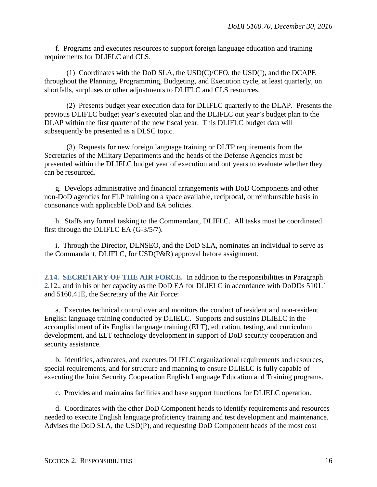f. Programs and executes resources to support foreign language education and training requirements for DLIFLC and CLS.

(1) Coordinates with the DoD SLA, the USD(C)/CFO, the USD(I), and the DCAPE throughout the Planning, Programming, Budgeting, and Execution cycle, at least quarterly, on shortfalls, surpluses or other adjustments to DLIFLC and CLS resources.

(2) Presents budget year execution data for DLIFLC quarterly to the DLAP. Presents the previous DLIFLC budget year's executed plan and the DLIFLC out year's budget plan to the DLAP within the first quarter of the new fiscal year. This DLIFLC budget data will subsequently be presented as a DLSC topic.

(3) Requests for new foreign language training or DLTP requirements from the Secretaries of the Military Departments and the heads of the Defense Agencies must be presented within the DLIFLC budget year of execution and out years to evaluate whether they can be resourced.

g. Develops administrative and financial arrangements with DoD Components and other non-DoD agencies for FLP training on a space available, reciprocal, or reimbursable basis in consonance with applicable DoD and EA policies.

h. Staffs any formal tasking to the Commandant, DLIFLC. All tasks must be coordinated first through the DLIFLC EA (G-3/5/7).

i. Through the Director, DLNSEO, and the DoD SLA, nominates an individual to serve as the Commandant, DLIFLC, for USD(P&R) approval before assignment.

<span id="page-15-0"></span>**2.14. SECRETARY OF THE AIR FORCE.** In addition to the responsibilities in Paragraph 2.12., and in his or her capacity as the DoD EA for DLIELC in accordance with DoDDs 5101.1 and 5160.41E, the Secretary of the Air Force:

a. Executes technical control over and monitors the conduct of resident and non-resident English language training conducted by DLIELC. Supports and sustains DLIELC in the accomplishment of its English language training (ELT), education, testing, and curriculum development, and ELT technology development in support of DoD security cooperation and security assistance.

b. Identifies, advocates, and executes DLIELC organizational requirements and resources, special requirements, and for structure and manning to ensure DLIELC is fully capable of executing the Joint Security Cooperation English Language Education and Training programs.

c. Provides and maintains facilities and base support functions for DLIELC operation.

d. Coordinates with the other DoD Component heads to identify requirements and resources needed to execute English language proficiency training and test development and maintenance. Advises the DoD SLA, the USD(P), and requesting DoD Component heads of the most cost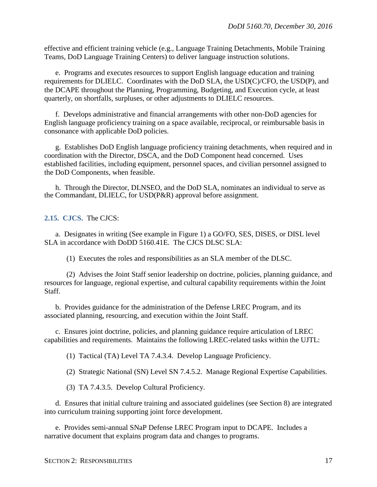effective and efficient training vehicle (e.g., Language Training Detachments, Mobile Training Teams, DoD Language Training Centers) to deliver language instruction solutions.

e. Programs and executes resources to support English language education and training requirements for DLIELC. Coordinates with the DoD SLA, the USD(C)/CFO, the USD(P), and the DCAPE throughout the Planning, Programming, Budgeting, and Execution cycle, at least quarterly, on shortfalls, surpluses, or other adjustments to DLIELC resources.

f. Develops administrative and financial arrangements with other non-DoD agencies for English language proficiency training on a space available, reciprocal, or reimbursable basis in consonance with applicable DoD policies.

g. Establishes DoD English language proficiency training detachments, when required and in coordination with the Director, DSCA, and the DoD Component head concerned. Uses established facilities, including equipment, personnel spaces, and civilian personnel assigned to the DoD Components, when feasible.

h. Through the Director, DLNSEO, and the DoD SLA, nominates an individual to serve as the Commandant, DLIELC, for USD(P&R) approval before assignment.

#### <span id="page-16-0"></span>**2.15. CJCS.** The CJCS:

a. Designates in writing (See example in Figure 1) a GO/FO, SES, DISES, or DISL level SLA in accordance with DoDD 5160.41E. The CJCS DLSC SLA:

(1) Executes the roles and responsibilities as an SLA member of the DLSC.

(2) Advises the Joint Staff senior leadership on doctrine, policies, planning guidance, and resources for language, regional expertise, and cultural capability requirements within the Joint Staff.

b. Provides guidance for the administration of the Defense LREC Program, and its associated planning, resourcing, and execution within the Joint Staff.

c. Ensures joint doctrine, policies, and planning guidance require articulation of LREC capabilities and requirements. Maintains the following LREC-related tasks within the UJTL:

(1) Tactical (TA) Level TA 7.4.3.4. Develop Language Proficiency.

(2) Strategic National (SN) Level SN 7.4.5.2. Manage Regional Expertise Capabilities.

(3) TA 7.4.3.5. Develop Cultural Proficiency.

d. Ensures that initial culture training and associated guidelines (see Section 8) are integrated into curriculum training supporting joint force development.

e. Provides semi-annual SNaP Defense LREC Program input to DCAPE. Includes a narrative document that explains program data and changes to programs.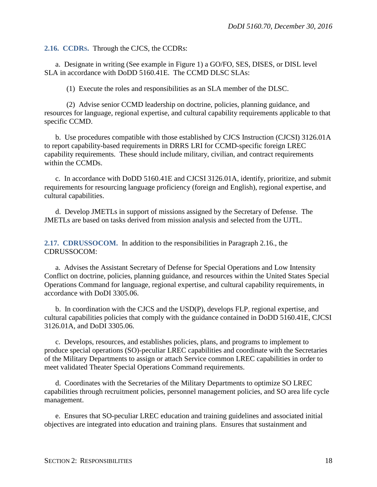#### <span id="page-17-0"></span>**2.16. CCDRS.** Through the CJCS, the CCDRs:

a. Designate in writing (See example in Figure 1) a GO/FO, SES, DISES, or DISL level SLA in accordance with DoDD 5160.41E. The CCMD DLSC SLAs:

(1) Execute the roles and responsibilities as an SLA member of the DLSC.

(2) Advise senior CCMD leadership on doctrine, policies, planning guidance, and resources for language, regional expertise, and cultural capability requirements applicable to that specific CCMD.

b. Use procedures compatible with those established by CJCS Instruction (CJCSI) 3126.01A to report capability-based requirements in DRRS LRI for CCMD-specific foreign LREC capability requirements. These should include military, civilian, and contract requirements within the CCMD<sub>s</sub>.

c. In accordance with DoDD 5160.41E and CJCSI 3126.01A, identify, prioritize, and submit requirements for resourcing language proficiency (foreign and English), regional expertise, and cultural capabilities.

d. Develop JMETLs in support of missions assigned by the Secretary of Defense. The JMETLs are based on tasks derived from mission analysis and selected from the UJTL.

<span id="page-17-1"></span>**2.17. CDRUSSOCOM.** In addition to the responsibilities in Paragraph 2.16., the CDRUSSOCOM:

a. Advises the Assistant Secretary of Defense for Special Operations and Low Intensity Conflict on doctrine, policies, planning guidance, and resources within the United States Special Operations Command for language, regional expertise, and cultural capability requirements, in accordance with DoDI 3305.06.

b. In coordination with the CJCS and the USD(P), develops FLP*,* regional expertise, and cultural capabilities policies that comply with the guidance contained in DoDD 5160.41E, CJCSI 3126.01A, and DoDI 3305.06.

c. Develops, resources, and establishes policies, plans, and programs to implement to produce special operations (SO)-peculiar LREC capabilities and coordinate with the Secretaries of the Military Departments to assign or attach Service common LREC capabilities in order to meet validated Theater Special Operations Command requirements.

d. Coordinates with the Secretaries of the Military Departments to optimize SO LREC capabilities through recruitment policies, personnel management policies, and SO area life cycle management.

e. Ensures that SO-peculiar LREC education and training guidelines and associated initial objectives are integrated into education and training plans. Ensures that sustainment and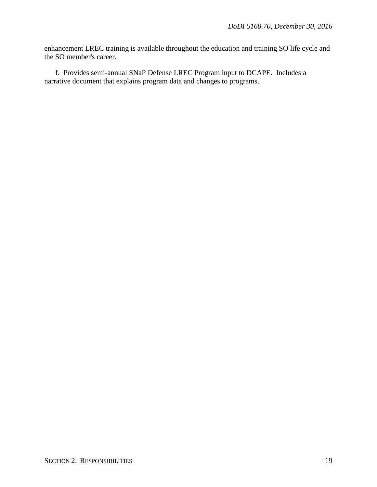enhancement LREC training is available throughout the education and training SO life cycle and the SO member's career.

f. Provides semi-annual SNaP Defense LREC Program input to DCAPE. Includes a narrative document that explains program data and changes to programs.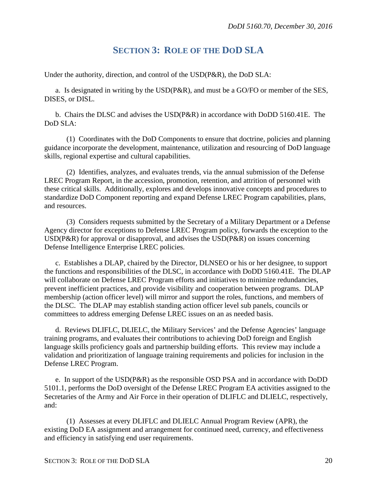## **SECTION 3: ROLE OF THE DOD SLA**

<span id="page-19-0"></span>Under the authority, direction, and control of the USD(P&R), the DoD SLA:

a. Is designated in writing by the USD(P&R), and must be a GO/FO or member of the SES, DISES, or DISL.

b. Chairs the DLSC and advises the USD(P&R) in accordance with DoDD 5160.41E. The DoD SLA:

(1) Coordinates with the DoD Components to ensure that doctrine, policies and planning guidance incorporate the development, maintenance, utilization and resourcing of DoD language skills*,* regional expertise and cultural capabilities.

(2) Identifies, analyzes, and evaluates trends, via the annual submission of the Defense LREC Program Report, in the accession, promotion, retention*,* and attrition of personnel with these critical skills. Additionally, explores and develops innovative concepts and procedures to standardize DoD Component reporting and expand Defense LREC Program capabilities, plans, and resources.

(3) Considers requests submitted by the Secretary of a Military Department or a Defense Agency director for exceptions to Defense LREC Program policy, forwards the exception to the USD(P&R) for approval or disapproval, and advises the USD(P&R) on issues concerning Defense Intelligence Enterprise LREC policies.

c. Establishes a DLAP, chaired by the Director, DLNSEO or his or her designee, to support the functions and responsibilities of the DLSC, in accordance with DoDD 5160.41E. The DLAP will collaborate on Defense LREC Program efforts and initiatives to minimize redundancies, prevent inefficient practices, and provide visibility and cooperation between programs. DLAP membership (action officer level) will mirror and support the roles, functions, and members of the DLSC. The DLAP may establish standing action officer level sub panels, councils or committees to address emerging Defense LREC issues on an as needed basis.

d. Reviews DLIFLC, DLIELC, the Military Services' and the Defense Agencies' language training programs, and evaluates their contributions to achieving DoD foreign and English language skills proficiency goals and partnership building efforts. This review may include a validation and prioritization of language training requirements and policies for inclusion in the Defense LREC Program.

e. In support of the USD(P&R) as the responsible OSD PSA and in accordance with DoDD 5101.1, performs the DoD oversight of the Defense LREC Program EA activities assigned to the Secretaries of the Army and Air Force in their operation of DLIFLC and DLIELC, respectively, and:

(1) Assesses at every DLIFLC and DLIELC Annual Program Review (APR), the existing DoD EA assignment and arrangement for continued need, currency, and effectiveness and efficiency in satisfying end user requirements.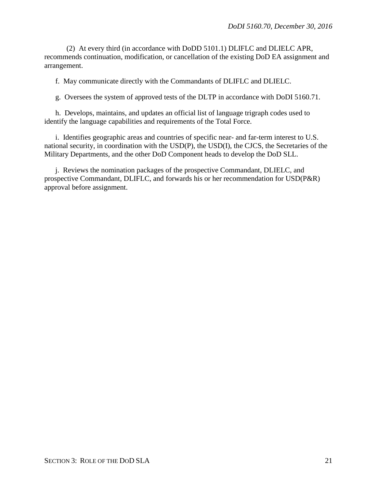(2) At every third (in accordance with DoDD 5101.1) DLIFLC and DLIELC APR, recommends continuation, modification, or cancellation of the existing DoD EA assignment and arrangement.

f. May communicate directly with the Commandants of DLIFLC and DLIELC.

g. Oversees the system of approved tests of the DLTP in accordance with DoDI 5160.71.

h. Develops, maintains, and updates an official list of language trigraph codes used to identify the language capabilities and requirements of the Total Force.

i. Identifies geographic areas and countries of specific near- and far-term interest to U.S. national security, in coordination with the USD(P), the USD(I), the CJCS, the Secretaries of the Military Departments, and the other DoD Component heads to develop the DoD SLL.

j. Reviews the nomination packages of the prospective Commandant, DLIELC, and prospective Commandant, DLIFLC, and forwards his or her recommendation for USD(P&R) approval before assignment.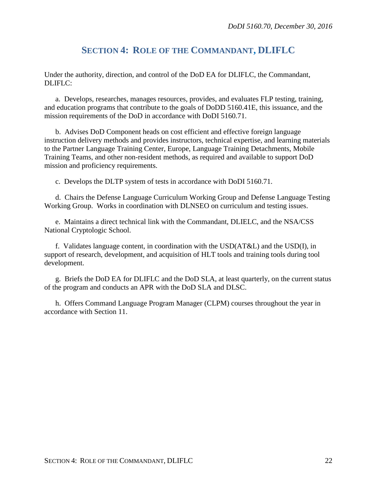## **SECTION 4: ROLE OF THE COMMANDANT, DLIFLC**

<span id="page-21-0"></span>Under the authority, direction, and control of the DoD EA for DLIFLC, the Commandant, DLIFLC:

a. Develops, researches, manages resources, provides, and evaluates FLP testing, training, and education programs that contribute to the goals of DoDD 5160.41E, this issuance, and the mission requirements of the DoD in accordance with DoDI 5160.71.

b. Advises DoD Component heads on cost efficient and effective foreign language instruction delivery methods and provides instructors, technical expertise, and learning materials to the Partner Language Training Center, Europe, Language Training Detachments, Mobile Training Teams, and other non-resident methods, as required and available to support DoD mission and proficiency requirements.

c. Develops the DLTP system of tests in accordance with DoDI 5160.71.

d. Chairs the Defense Language Curriculum Working Group and Defense Language Testing Working Group. Works in coordination with DLNSEO on curriculum and testing issues.

e. Maintains a direct technical link with the Commandant, DLIELC, and the NSA/CSS National Cryptologic School.

f. Validates language content, in coordination with the USD(AT&L) and the USD(I), in support of research, development, and acquisition of HLT tools and training tools during tool development.

g. Briefs the DoD EA for DLIFLC and the DoD SLA, at least quarterly, on the current status of the program and conducts an APR with the DoD SLA and DLSC.

h. Offers Command Language Program Manager (CLPM) courses throughout the year in accordance with Section 11.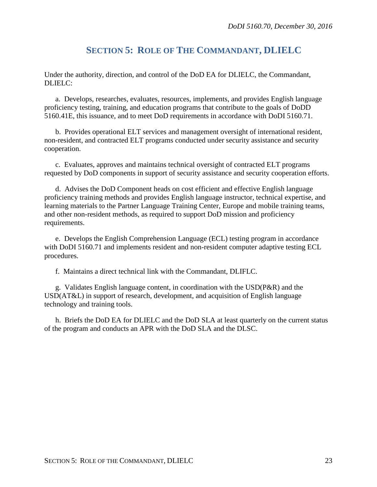# **SECTION 5: ROLE OF THE COMMANDANT, DLIELC**

<span id="page-22-0"></span>Under the authority, direction, and control of the DoD EA for DLIELC, the Commandant, DLIELC:

a. Develops, researches, evaluates, resources, implements, and provides English language proficiency testing, training, and education programs that contribute to the goals of DoDD 5160.41E, this issuance, and to meet DoD requirements in accordance with DoDI 5160.71.

b. Provides operational ELT services and management oversight of international resident, non-resident, and contracted ELT programs conducted under security assistance and security cooperation.

c. Evaluates, approves and maintains technical oversight of contracted ELT programs requested by DoD components in support of security assistance and security cooperation efforts.

d. Advises the DoD Component heads on cost efficient and effective English language proficiency training methods and provides English language instructor, technical expertise, and learning materials to the Partner Language Training Center, Europe and mobile training teams, and other non-resident methods, as required to support DoD mission and proficiency requirements.

e. Develops the English Comprehension Language (ECL) testing program in accordance with DoDI 5160.71 and implements resident and non-resident computer adaptive testing ECL procedures.

f. Maintains a direct technical link with the Commandant, DLIFLC.

g. Validates English language content, in coordination with the USD(P&R) and the USD(AT&L) in support of research, development, and acquisition of English language technology and training tools.

h. Briefs the DoD EA for DLIELC and the DoD SLA at least quarterly on the current status of the program and conducts an APR with the DoD SLA and the DLSC.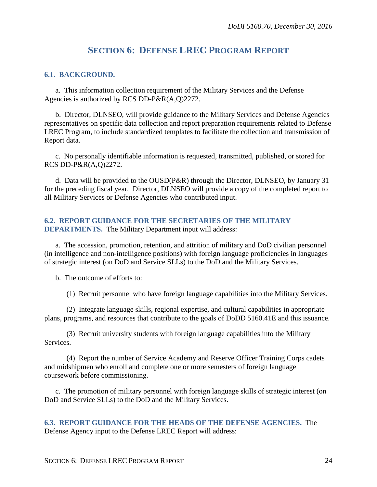## **SECTION 6: DEFENSE LREC PROGRAM REPORT**

### <span id="page-23-1"></span><span id="page-23-0"></span>**6.1. BACKGROUND.**

a. This information collection requirement of the Military Services and the Defense Agencies is authorized by RCS DD-P&R(A,Q)2272.

b. Director, DLNSEO, will provide guidance to the Military Services and Defense Agencies representatives on specific data collection and report preparation requirements related to Defense LREC Program, to include standardized templates to facilitate the collection and transmission of Report data.

c. No personally identifiable information is requested, transmitted, published, or stored for RCS DD-P&R(A,Q)2272.

d. Data will be provided to the OUSD(P&R) through the Director, DLNSEO, by January 31 for the preceding fiscal year*.* Director, DLNSEO will provide a copy of the completed report to all Military Services or Defense Agencies who contributed input.

# <span id="page-23-2"></span>**6.2. REPORT GUIDANCE FOR THE SECRETARIES OF THE MILITARY**

**DEPARTMENTS.** The Military Department input will address:

a. The accession, promotion, retention, and attrition of military and DoD civilian personnel (in intelligence and non-intelligence positions) with foreign language proficiencies in languages of strategic interest (on DoD and Service SLLs) to the DoD and the Military Services.

b. The outcome of efforts to:

(1) Recruit personnel who have foreign language capabilities into the Military Services.

(2) Integrate language skills, regional expertise, and cultural capabilities in appropriate plans, programs, and resources that contribute to the goals of DoDD 5160.41E and this issuance.

(3) Recruit university students with foreign language capabilities into the Military Services.

(4) Report the number of Service Academy and Reserve Officer Training Corps cadets and midshipmen who enroll and complete one or more semesters of foreign language coursework before commissioning.

c. The promotion of military personnel with foreign language skills of strategic interest (on DoD and Service SLLs) to the DoD and the Military Services.

<span id="page-23-3"></span>**6.3. REPORT GUIDANCE FOR THE HEADS OF THE DEFENSE AGENCIES.** The Defense Agency input to the Defense LREC Report will address: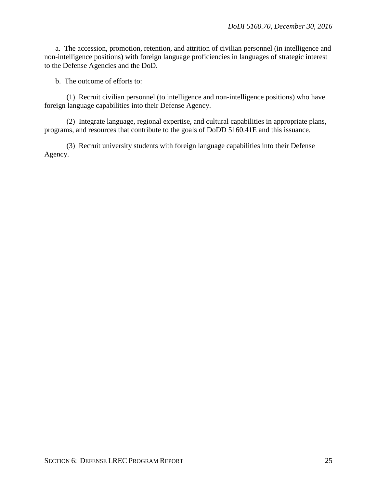a. The accession, promotion, retention, and attrition of civilian personnel (in intelligence and non-intelligence positions) with foreign language proficiencies in languages of strategic interest to the Defense Agencies and the DoD.

b. The outcome of efforts to:

(1) Recruit civilian personnel (to intelligence and non-intelligence positions) who have foreign language capabilities into their Defense Agency.

(2) Integrate language, regional expertise, and cultural capabilities in appropriate plans, programs, and resources that contribute to the goals of DoDD 5160.41E and this issuance.

(3) Recruit university students with foreign language capabilities into their Defense Agency.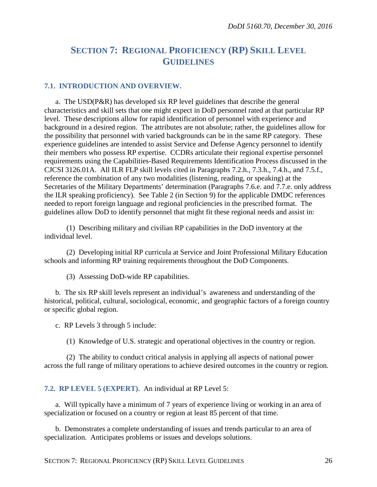### <span id="page-25-0"></span>**SECTION 7: REGIONAL PROFICIENCY (RP) SKILL LEVEL GUIDELINES**

#### <span id="page-25-1"></span>**7.1. INTRODUCTION AND OVERVIEW.**

a. The USD(P&R) has developed six RP level guidelines that describe the general characteristics and skill sets that one might expect in DoD personnel rated at that particular RP level. These descriptions allow for rapid identification of personnel with experience and background in a desired region. The attributes are not absolute; rather, the guidelines allow for the possibility that personnel with varied backgrounds can be in the same RP category. These experience guidelines are intended to assist Service and Defense Agency personnel to identify their members who possess RP expertise. CCDRs articulate their regional expertise personnel requirements using the Capabilities-Based Requirements Identification Process discussed in the CJCSI 3126.01A. All ILR FLP skill levels cited in Paragraphs 7.2.h., 7.3.h., 7.4.h., and 7.5.f., reference the combination of any two modalities (listening, reading, or speaking) at the Secretaries of the Military Departments' determination (Paragraphs 7.6.e. and 7.7.e. only address the ILR speaking proficiency). See Table 2 (in Section 9) for the applicable DMDC references needed to report foreign language and regional proficiencies in the prescribed format. The guidelines allow DoD to identify personnel that might fit these regional needs and assist in:

(1) Describing military and civilian RP capabilities in the DoD inventory at the individual level.

(2) Developing initial RP curricula at Service and Joint Professional Military Education schools and informing RP training requirements throughout the DoD Components.

(3) Assessing DoD-wide RP capabilities.

b. The six RP skill levels represent an individual's awareness and understanding of the historical, political, cultural, sociological, economic, and geographic factors of a foreign country or specific global region.

c. RP Levels 3 through 5 include:

(1) Knowledge of U.S. strategic and operational objectives in the country or region.

(2) The ability to conduct critical analysis in applying all aspects of national power across the full range of military operations to achieve desired outcomes in the country or region.

#### <span id="page-25-2"></span>**7.2. RP LEVEL 5 (EXPERT).** An individual at RP Level 5:

a. Will typically have a minimum of 7 years of experience living or working in an area of specialization or focused on a country or region at least 85 percent of that time.

b. Demonstrates a complete understanding of issues and trends particular to an area of specialization. Anticipates problems or issues and develops solutions.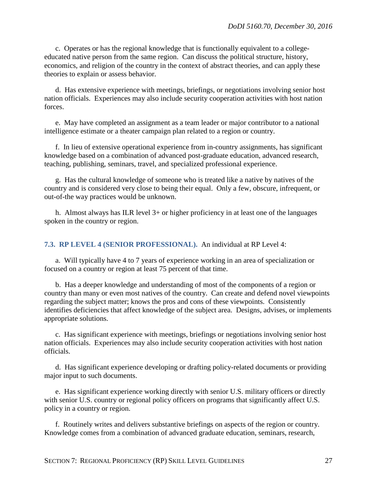c. Operates or has the regional knowledge that is functionally equivalent to a collegeeducated native person from the same region. Can discuss the political structure, history, economics, and religion of the country in the context of abstract theories, and can apply these theories to explain or assess behavior.

d. Has extensive experience with meetings, briefings, or negotiations involving senior host nation officials. Experiences may also include security cooperation activities with host nation forces.

e. May have completed an assignment as a team leader or major contributor to a national intelligence estimate or a theater campaign plan related to a region or country.

f. In lieu of extensive operational experience from in-country assignments, has significant knowledge based on a combination of advanced post-graduate education, advanced research, teaching, publishing, seminars, travel, and specialized professional experience.

g. Has the cultural knowledge of someone who is treated like a native by natives of the country and is considered very close to being their equal. Only a few, obscure, infrequent, or out-of-the way practices would be unknown.

h. Almost always has ILR level 3+ or higher proficiency in at least one of the languages spoken in the country or region.

<span id="page-26-0"></span>**7.3. RP LEVEL 4 (SENIOR PROFESSIONAL).** An individual at RP Level 4:

a. Will typically have 4 to 7 years of experience working in an area of specialization or focused on a country or region at least 75 percent of that time.

b. Has a deeper knowledge and understanding of most of the components of a region or country than many or even most natives of the country. Can create and defend novel viewpoints regarding the subject matter; knows the pros and cons of these viewpoints. Consistently identifies deficiencies that affect knowledge of the subject area. Designs, advises, or implements appropriate solutions.

c. Has significant experience with meetings, briefings or negotiations involving senior host nation officials. Experiences may also include security cooperation activities with host nation officials.

d. Has significant experience developing or drafting policy-related documents or providing major input to such documents.

e. Has significant experience working directly with senior U.S. military officers or directly with senior U.S. country or regional policy officers on programs that significantly affect U.S. policy in a country or region.

f. Routinely writes and delivers substantive briefings on aspects of the region or country. Knowledge comes from a combination of advanced graduate education, seminars, research,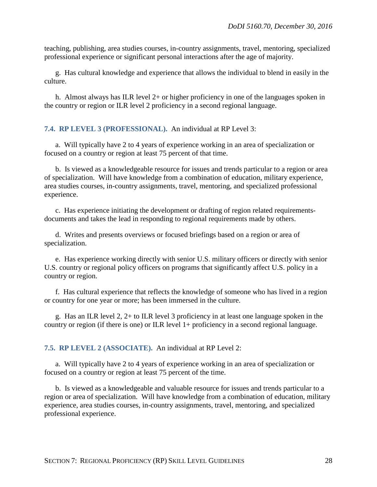teaching, publishing, area studies courses, in-country assignments, travel, mentoring, specialized professional experience or significant personal interactions after the age of majority.

g. Has cultural knowledge and experience that allows the individual to blend in easily in the culture.

h. Almost always has ILR level 2+ or higher proficiency in one of the languages spoken in the country or region or ILR level 2 proficiency in a second regional language.

### <span id="page-27-0"></span>**7.4. RP LEVEL 3 (PROFESSIONAL).** An individual at RP Level 3:

a. Will typically have 2 to 4 years of experience working in an area of specialization or focused on a country or region at least 75 percent of that time.

b. Is viewed as a knowledgeable resource for issues and trends particular to a region or area of specialization. Will have knowledge from a combination of education, military experience, area studies courses, in-country assignments, travel, mentoring, and specialized professional experience.

c. Has experience initiating the development or drafting of region related requirementsdocuments and takes the lead in responding to regional requirements made by others.

d. Writes and presents overviews or focused briefings based on a region or area of specialization.

e. Has experience working directly with senior U.S. military officers or directly with senior U.S. country or regional policy officers on programs that significantly affect U.S. policy in a country or region.

f. Has cultural experience that reflects the knowledge of someone who has lived in a region or country for one year or more; has been immersed in the culture.

g. Has an ILR level 2, 2+ to ILR level 3 proficiency in at least one language spoken in the country or region (if there is one) or ILR level 1+ proficiency in a second regional language.

<span id="page-27-1"></span>**7.5. RP LEVEL 2 (ASSOCIATE).** An individual at RP Level 2:

a. Will typically have 2 to 4 years of experience working in an area of specialization or focused on a country or region at least 75 percent of the time.

b. Is viewed as a knowledgeable and valuable resource for issues and trends particular to a region or area of specialization. Will have knowledge from a combination of education, military experience, area studies courses, in-country assignments, travel, mentoring, and specialized professional experience.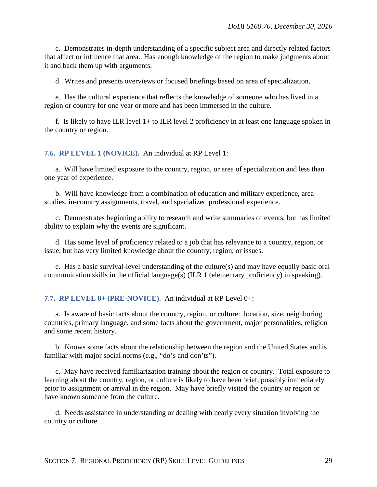c. Demonstrates in-depth understanding of a specific subject area and directly related factors that affect or influence that area. Has enough knowledge of the region to make judgments about it and back them up with arguments.

d. Writes and presents overviews or focused briefings based on area of specialization.

e. Has the cultural experience that reflects the knowledge of someone who has lived in a region or country for one year or more and has been immersed in the culture.

f. Is likely to have ILR level 1+ to ILR level 2 proficiency in at least one language spoken in the country or region.

#### <span id="page-28-0"></span>**7.6. RP LEVEL 1 (NOVICE).** An individual at RP Level 1:

a. Will have limited exposure to the country, region, or area of specialization and less than one year of experience.

b. Will have knowledge from a combination of education and military experience, area studies, in-country assignments, travel, and specialized professional experience.

c. Demonstrates beginning ability to research and write summaries of events, but has limited ability to explain why the events are significant.

d. Has some level of proficiency related to a job that has relevance to a country, region, or issue, but has very limited knowledge about the country, region, or issues.

e. Has a basic survival-level understanding of the culture(s) and may have equally basic oral communication skills in the official language(s) (ILR 1 (elementary proficiency) in speaking).

#### <span id="page-28-1"></span>**7.7. RP LEVEL 0+ (PRE-NOVICE).** An individual at RP Level 0+:

a. Is aware of basic facts about the country, region, or culture: location, size, neighboring countries, primary language, and some facts about the government, major personalities, religion and some recent history.

b. Knows some facts about the relationship between the region and the United States and is familiar with major social norms (e.g., "do's and don'ts").

c. May have received familiarization training about the region or country. Total exposure to learning about the country, region, or culture is likely to have been brief, possibly immediately prior to assignment or arrival in the region. May have briefly visited the country or region or have known someone from the culture.

d. Needs assistance in understanding or dealing with nearly every situation involving the country or culture.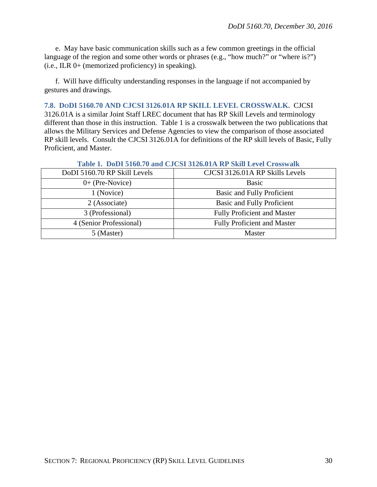e. May have basic communication skills such as a few common greetings in the official language of the region and some other words or phrases (e.g., "how much?" or "where is?") (i.e., ILR 0+ (memorized proficiency) in speaking).

f. Will have difficulty understanding responses in the language if not accompanied by gestures and drawings.

#### <span id="page-29-0"></span>**7.8. DODI 5160.70 AND CJCSI 3126.01A RP SKILL LEVEL CROSSWALK.** CJCSI

3126.01A is a similar Joint Staff LREC document that has RP Skill Levels and terminology different than those in this instruction. Table 1 is a crosswalk between the two publications that allows the Military Services and Defense Agencies to view the comparison of those associated RP skill levels. Consult the CJCSI 3126.01A for definitions of the RP skill levels of Basic, Fully Proficient, and Master.

|                              | Table 1. Dudt stud, dann Cacol stzu.dta ist omil level clusswain |
|------------------------------|------------------------------------------------------------------|
| DoDI 5160.70 RP Skill Levels | CJCSI 3126.01A RP Skills Levels                                  |
| $0+$ (Pre-Novice)            | <b>Basic</b>                                                     |
| 1 (Novice)                   | Basic and Fully Proficient                                       |
| 2 (Associate)                | <b>Basic and Fully Proficient</b>                                |
| 3 (Professional)             | <b>Fully Proficient and Master</b>                               |
| 4 (Senior Professional)      | <b>Fully Proficient and Master</b>                               |
| 5 (Master)                   | Master                                                           |

### **Table 1. DoDI 5160.70 and CJCSI 3126.01A RP Skill Level Crosswalk**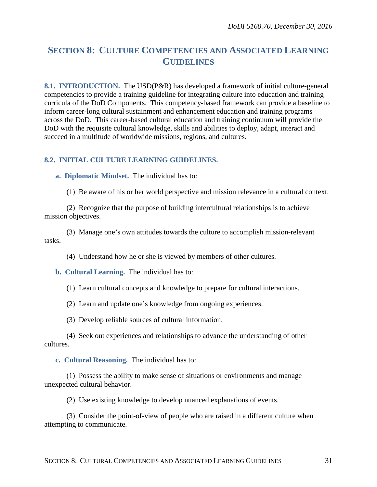### <span id="page-30-0"></span>**SECTION 8: CULTURE COMPETENCIES AND ASSOCIATED LEARNING GUIDELINES**

<span id="page-30-1"></span>**8.1. INTRODUCTION.** The USD(P&R) has developed a framework of initial culture-general competencies to provide a training guideline for integrating culture into education and training curricula of the DoD Components. This competency-based framework can provide a baseline to inform career-long cultural sustainment and enhancement education and training programs across the DoD. This career-based cultural education and training continuum will provide the DoD with the requisite cultural knowledge, skills and abilities to deploy, adapt, interact and succeed in a multitude of worldwide missions, regions, and cultures.

### <span id="page-30-2"></span>**8.2. INITIAL CULTURE LEARNING GUIDELINES.**

<span id="page-30-3"></span>**a. Diplomatic Mindset.** The individual has to:

(1) Be aware of his or her world perspective and mission relevance in a cultural context.

(2) Recognize that the purpose of building intercultural relationships is to achieve mission objectives.

(3) Manage one's own attitudes towards the culture to accomplish mission-relevant tasks.

(4) Understand how he or she is viewed by members of other cultures.

<span id="page-30-4"></span>**b. Cultural Learning.** The individual has to:

(1) Learn cultural concepts and knowledge to prepare for cultural interactions.

(2) Learn and update one's knowledge from ongoing experiences.

(3) Develop reliable sources of cultural information.

(4) Seek out experiences and relationships to advance the understanding of other cultures.

<span id="page-30-5"></span>**c. Cultural Reasoning.** The individual has to:

(1) Possess the ability to make sense of situations or environments and manage unexpected cultural behavior.

(2) Use existing knowledge to develop nuanced explanations of events.

(3) Consider the point-of-view of people who are raised in a different culture when attempting to communicate.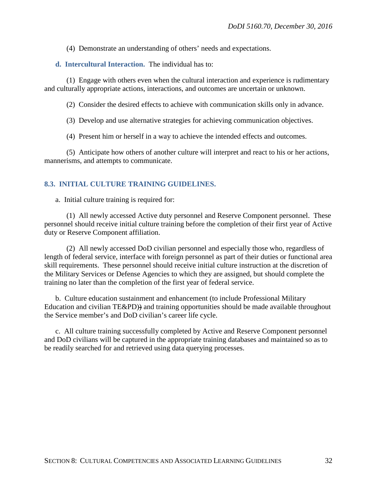(4) Demonstrate an understanding of others' needs and expectations.

<span id="page-31-0"></span>**d. Intercultural Interaction.** The individual has to:

(1) Engage with others even when the cultural interaction and experience is rudimentary and culturally appropriate actions, interactions, and outcomes are uncertain or unknown.

(2) Consider the desired effects to achieve with communication skills only in advance.

(3) Develop and use alternative strategies for achieving communication objectives.

(4) Present him or herself in a way to achieve the intended effects and outcomes.

(5) Anticipate how others of another culture will interpret and react to his or her actions, mannerisms, and attempts to communicate.

### <span id="page-31-1"></span>**8.3. INITIAL CULTURE TRAINING GUIDELINES.**

a. Initial culture training is required for:

(1) All newly accessed Active duty personnel and Reserve Component personnel. These personnel should receive initial culture training before the completion of their first year of Active duty or Reserve Component affiliation.

(2) All newly accessed DoD civilian personnel and especially those who, regardless of length of federal service, interface with foreign personnel as part of their duties or functional area skill requirements. These personnel should receive initial culture instruction at the discretion of the Military Services or Defense Agencies to which they are assigned, but should complete the training no later than the completion of the first year of federal service.

b. Culture education sustainment and enhancement (to include Professional Military Education and civilian TE&PD)) and training opportunities should be made available throughout the Service member's and DoD civilian's career life cycle.

c. All culture training successfully completed by Active and Reserve Component personnel and DoD civilians will be captured in the appropriate training databases and maintained so as to be readily searched for and retrieved using data querying processes.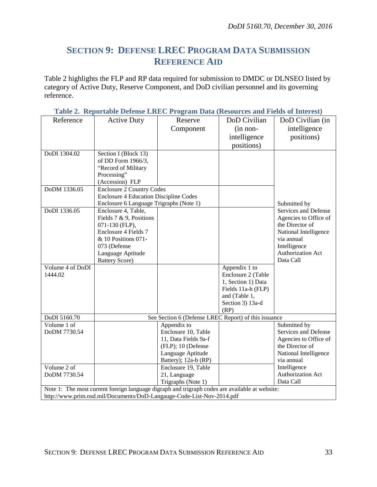## <span id="page-32-0"></span>**SECTION 9: DEFENSE LREC PROGRAM DATA SUBMISSION REFERENCE AID**

Table 2 highlights the FLP and RP data required for submission to DMDC or DLNSEO listed by category of Active Duty, Reserve Component, and DoD civilian personnel and its governing reference.

| Reference                                                                                                                                                               | <b>Active Duty</b>                            | Reserve                                              | DoD Civilian       | DoD Civilian (in                    |
|-------------------------------------------------------------------------------------------------------------------------------------------------------------------------|-----------------------------------------------|------------------------------------------------------|--------------------|-------------------------------------|
|                                                                                                                                                                         |                                               | Component                                            | $(in non-$         | intelligence                        |
|                                                                                                                                                                         |                                               |                                                      | intelligence       | positions)                          |
|                                                                                                                                                                         |                                               |                                                      | positions)         |                                     |
|                                                                                                                                                                         |                                               |                                                      |                    |                                     |
| DoDI 1304.02                                                                                                                                                            | Section I (Block 13)                          |                                                      |                    |                                     |
|                                                                                                                                                                         | of DD Form 1966/3,                            |                                                      |                    |                                     |
|                                                                                                                                                                         | "Record of Military                           |                                                      |                    |                                     |
|                                                                                                                                                                         | Processing"                                   |                                                      |                    |                                     |
|                                                                                                                                                                         | (Accession) FLP                               |                                                      |                    |                                     |
| DoDM 1336.05                                                                                                                                                            | <b>Enclosure 2 Country Codes</b>              |                                                      |                    |                                     |
|                                                                                                                                                                         | <b>Enclosure 4 Education Discipline Codes</b> |                                                      |                    |                                     |
|                                                                                                                                                                         | Enclosure 6 Language Trigraphs (Note 1)       |                                                      |                    | Submitted by                        |
| DoDI 1336.05                                                                                                                                                            | Enclosure 4, Table,                           |                                                      |                    | Services and Defense                |
|                                                                                                                                                                         | Fields 7 & 9, Positions                       |                                                      |                    | Agencies to Office of               |
|                                                                                                                                                                         | 071-130 (FLP),                                |                                                      |                    | the Director of                     |
|                                                                                                                                                                         | Enclosure 4 Fields 7                          |                                                      |                    | National Intelligence<br>via annual |
|                                                                                                                                                                         | & 10 Positions 071-                           |                                                      |                    |                                     |
|                                                                                                                                                                         | 073 (Defense                                  |                                                      |                    | Intelligence                        |
|                                                                                                                                                                         | Language Aptitude                             |                                                      |                    | Authorization Act<br>Data Call      |
| Volume 4 of DoDI                                                                                                                                                        | <b>Battery Score)</b>                         |                                                      |                    |                                     |
|                                                                                                                                                                         |                                               |                                                      | Appendix 1 to      |                                     |
| 1444.02                                                                                                                                                                 |                                               |                                                      | Enclosure 2 (Table |                                     |
|                                                                                                                                                                         |                                               |                                                      | 1, Section 1) Data |                                     |
|                                                                                                                                                                         |                                               |                                                      | Fields 11a-h (FLP) |                                     |
|                                                                                                                                                                         |                                               |                                                      | and (Table 1,      |                                     |
|                                                                                                                                                                         |                                               |                                                      | Section 3) 13a-d   |                                     |
| DoDI 5160.70                                                                                                                                                            |                                               | See Section 6 (Defense LREC Report) of this issuance | (RP)               |                                     |
| Volume 1 of                                                                                                                                                             |                                               | Appendix to                                          |                    | Submitted by                        |
| DoDM 7730.54                                                                                                                                                            |                                               | Enclosure 10, Table                                  |                    | Services and Defense                |
|                                                                                                                                                                         |                                               | 11, Data Fields 9a-f                                 |                    | Agencies to Office of               |
|                                                                                                                                                                         |                                               | (FLP); 10 (Defense                                   |                    | the Director of                     |
|                                                                                                                                                                         |                                               | Language Aptitude                                    |                    | National Intelligence               |
|                                                                                                                                                                         |                                               | Battery); 12a-b (RP)                                 |                    | via annual                          |
| Volume 2 of                                                                                                                                                             |                                               |                                                      |                    | Intelligence                        |
| DoDM 7730.54                                                                                                                                                            |                                               | Enclosure 19, Table<br>21, Language                  |                    | Authorization Act                   |
|                                                                                                                                                                         |                                               | Trigraphs (Note 1)                                   |                    | Data Call                           |
|                                                                                                                                                                         |                                               |                                                      |                    |                                     |
| Note 1: The most current foreign language digraph and trigraph codes are available at website:<br>http://www.prim.osd.mil/Documents/DoD-Langauge-Code-List-Nov-2014.pdf |                                               |                                                      |                    |                                     |
|                                                                                                                                                                         |                                               |                                                      |                    |                                     |

**Table 2. Reportable Defense LREC Program Data (Resources and Fields of Interest)**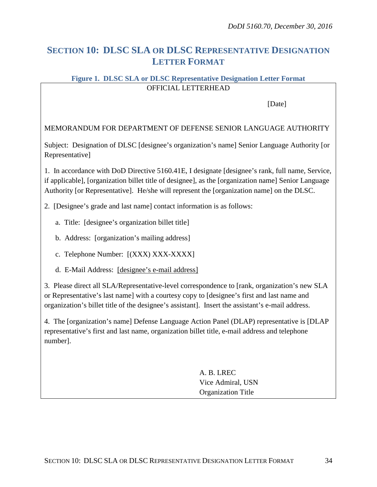## <span id="page-33-0"></span>**SECTION 10: DLSC SLA OR DLSC REPRESENTATIVE DESIGNATION LETTER FORMAT**

### **Figure 1. DLSC SLA or DLSC Representative Designation Letter Format** OFFICIAL LETTERHEAD

[Date]

### MEMORANDUM FOR DEPARTMENT OF DEFENSE SENIOR LANGUAGE AUTHORITY

Subject: Designation of DLSC [designee's organization's name] Senior Language Authority [or Representative]

1. In accordance with DoD Directive 5160.41E, I designate [designee's rank, full name, Service, if applicable], [organization billet title of designee], as the [organization name] Senior Language Authority [or Representative]. He/she will represent the [organization name] on the DLSC.

2. [Designee's grade and last name] contact information is as follows:

- a. Title: [designee's organization billet title]
- b. Address: [organization's mailing address]
- c. Telephone Number: [(XXX) XXX-XXXX]
- d. E-Mail Address: [\[designee's](mailto:jean.p.jones12.mil@mail.mil) e-mail address]

3. Please direct all SLA/Representative-level correspondence to [rank, organization's new SLA or Representative's last name] with a courtesy copy to [designee's first and last name and organization's billet title of the designee's assistant]. Insert the assistant's e-mail address.

4. The [organization's name] Defense Language Action Panel (DLAP) representative is [DLAP representative's first and last name, organization billet title, e-mail address and telephone number].

> A. B. LREC Vice Admiral, USN Organization Title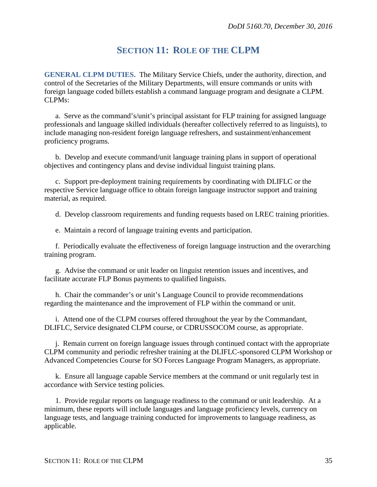## **SECTION 11: ROLE OF THE CLPM**

<span id="page-34-0"></span>**GENERAL CLPM DUTIES.** The Military Service Chiefs, under the authority, direction, and control of the Secretaries of the Military Departments, will ensure commands or units with foreign language coded billets establish a command language program and designate a CLPM. CLPMs:

a. Serve as the command's/unit's principal assistant for FLP training for assigned language professionals and language skilled individuals (hereafter collectively referred to as linguists), to include managing non-resident foreign language refreshers, and sustainment/enhancement proficiency programs.

b. Develop and execute command/unit language training plans in support of operational objectives and contingency plans and devise individual linguist training plans.

c. Support pre-deployment training requirements by coordinating with DLIFLC or the respective Service language office to obtain foreign language instructor support and training material, as required.

d. Develop classroom requirements and funding requests based on LREC training priorities.

e. Maintain a record of language training events and participation.

f. Periodically evaluate the effectiveness of foreign language instruction and the overarching training program.

g. Advise the command or unit leader on linguist retention issues and incentives, and facilitate accurate FLP Bonus payments to qualified linguists.

h. Chair the commander's or unit's Language Council to provide recommendations regarding the maintenance and the improvement of FLP within the command or unit.

i. Attend one of the CLPM courses offered throughout the year by the Commandant, DLIFLC, Service designated CLPM course, or CDRUSSOCOM course, as appropriate.

j. Remain current on foreign language issues through continued contact with the appropriate CLPM community and periodic refresher training at the DLIFLC-sponsored CLPM Workshop or Advanced Competencies Course for SO Forces Language Program Managers, as appropriate.

k. Ensure all language capable Service members at the command or unit regularly test in accordance with Service testing policies.

1. Provide regular reports on language readiness to the command or unit leadership. At a minimum, these reports will include languages and language proficiency levels, currency on language tests, and language training conducted for improvements to language readiness, as applicable.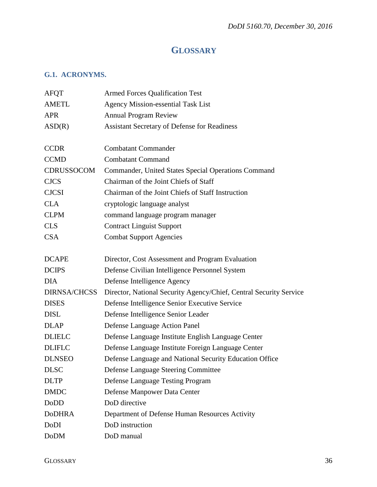# **GLOSSARY**

### <span id="page-35-1"></span><span id="page-35-0"></span>**G.1. ACRONYMS.**

| <b>AFOT</b>         | <b>Armed Forces Qualification Test</b>                             |
|---------------------|--------------------------------------------------------------------|
| <b>AMETL</b>        | <b>Agency Mission-essential Task List</b>                          |
| <b>APR</b>          | <b>Annual Program Review</b>                                       |
| ASD(R)              | <b>Assistant Secretary of Defense for Readiness</b>                |
|                     |                                                                    |
| <b>CCDR</b>         | <b>Combatant Commander</b>                                         |
| <b>CCMD</b>         | <b>Combatant Command</b>                                           |
| <b>CDRUSSOCOM</b>   | Commander, United States Special Operations Command                |
| <b>CJCS</b>         | Chairman of the Joint Chiefs of Staff                              |
| <b>CJCSI</b>        | Chairman of the Joint Chiefs of Staff Instruction                  |
| <b>CLA</b>          | cryptologic language analyst                                       |
| <b>CLPM</b>         | command language program manager                                   |
| <b>CLS</b>          | <b>Contract Linguist Support</b>                                   |
| <b>CSA</b>          | <b>Combat Support Agencies</b>                                     |
|                     |                                                                    |
| <b>DCAPE</b>        | Director, Cost Assessment and Program Evaluation                   |
| <b>DCIPS</b>        | Defense Civilian Intelligence Personnel System                     |
| <b>DIA</b>          | Defense Intelligence Agency                                        |
| <b>DIRNSA/CHCSS</b> | Director, National Security Agency/Chief, Central Security Service |
| <b>DISES</b>        | Defense Intelligence Senior Executive Service                      |
| <b>DISL</b>         | Defense Intelligence Senior Leader                                 |
| <b>DLAP</b>         | Defense Language Action Panel                                      |
| <b>DLIELC</b>       | Defense Language Institute English Language Center                 |
| <b>DLIFLC</b>       | Defense Language Institute Foreign Language Center                 |
| <b>DLNSEO</b>       | Defense Language and National Security Education Office            |
| <b>DLSC</b>         | Defense Language Steering Committee                                |
| <b>DLTP</b>         | Defense Language Testing Program                                   |
| <b>DMDC</b>         | Defense Manpower Data Center                                       |
| DoDD                | DoD directive                                                      |
| <b>DoDHRA</b>       | Department of Defense Human Resources Activity                     |
| DoDI                | DoD instruction                                                    |
| <b>DoDM</b>         | DoD manual                                                         |
|                     |                                                                    |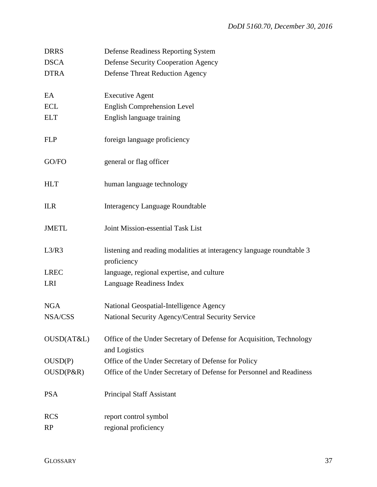| <b>DRRS</b>  | Defense Readiness Reporting System                                                    |  |
|--------------|---------------------------------------------------------------------------------------|--|
| <b>DSCA</b>  | <b>Defense Security Cooperation Agency</b>                                            |  |
| <b>DTRA</b>  | <b>Defense Threat Reduction Agency</b>                                                |  |
| EA           | <b>Executive Agent</b>                                                                |  |
| <b>ECL</b>   | English Comprehension Level                                                           |  |
| <b>ELT</b>   | English language training                                                             |  |
| <b>FLP</b>   | foreign language proficiency                                                          |  |
| GO/FO        | general or flag officer                                                               |  |
| <b>HLT</b>   | human language technology                                                             |  |
| <b>ILR</b>   | <b>Interagency Language Roundtable</b>                                                |  |
| <b>JMETL</b> | Joint Mission-essential Task List                                                     |  |
| L3/R3        | listening and reading modalities at interagency language roundtable 3<br>proficiency  |  |
| <b>LREC</b>  | language, regional expertise, and culture                                             |  |
| LRI          | Language Readiness Index                                                              |  |
| <b>NGA</b>   | National Geospatial-Intelligence Agency                                               |  |
| NSA/CSS      | National Security Agency/Central Security Service                                     |  |
| OUSD(AT&L)   | Office of the Under Secretary of Defense for Acquisition, Technology<br>and Logistics |  |
| OUSD(P)      | Office of the Under Secretary of Defense for Policy                                   |  |
| OUSD(P&R)    | Office of the Under Secretary of Defense for Personnel and Readiness                  |  |
| <b>PSA</b>   | <b>Principal Staff Assistant</b>                                                      |  |
| <b>RCS</b>   | report control symbol                                                                 |  |
| <b>RP</b>    | regional proficiency                                                                  |  |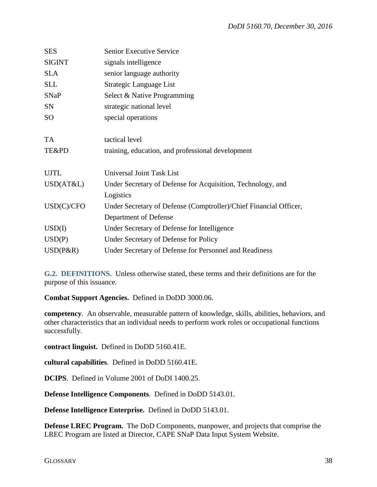| <b>SES</b>    | <b>Senior Executive Service</b>                                   |  |
|---------------|-------------------------------------------------------------------|--|
| <b>SIGINT</b> | signals intelligence                                              |  |
| <b>SLA</b>    | senior language authority                                         |  |
| <b>SLL</b>    | Strategic Language List                                           |  |
| <b>SNaP</b>   | Select & Native Programming                                       |  |
| <b>SN</b>     | strategic national level                                          |  |
| <b>SO</b>     | special operations                                                |  |
|               |                                                                   |  |
| <b>TA</b>     | tactical level                                                    |  |
| TE&PD         | training, education, and professional development                 |  |
|               |                                                                   |  |
| <b>UJTL</b>   | Universal Joint Task List                                         |  |
| USD(AT&L)     | Under Secretary of Defense for Acquisition, Technology, and       |  |
|               | Logistics                                                         |  |
| USD(C)/CFO    | Under Secretary of Defense (Comptroller)/Chief Financial Officer, |  |
|               | Department of Defense                                             |  |
| USD(I)        | Under Secretary of Defense for Intelligence                       |  |
| USD(P)        | Under Secretary of Defense for Policy                             |  |
| $USD(P\&R)$   | Under Secretary of Defense for Personnel and Readiness            |  |

<span id="page-37-0"></span>**G.2. DEFINITIONS.** Unless otherwise stated, these terms and their definitions are for the purpose of this issuance.

**Combat Support Agencies.**Defined in DoDD 3000.06.

**competency**. An observable, measurable pattern of knowledge, skills, abilities, behaviors, and other characteristics that an individual needs to perform work roles or occupational functions successfully.

**contract linguist.** Defined in DoDD 5160.41E.

**cultural capabilities**. Defined in DoDD 5160.41E.

**DCIPS**. Defined in Volume 2001 of DoDI 1400.25.

**Defense Intelligence Components**. Defined in DoDD 5143.01.

**Defense Intelligence Enterprise.** Defined in DoDD 5143.01.

**Defense LREC Program.** The DoD Components, manpower, and projects that comprise the LREC Program are listed at Director, CAPE SNaP Data Input System Website.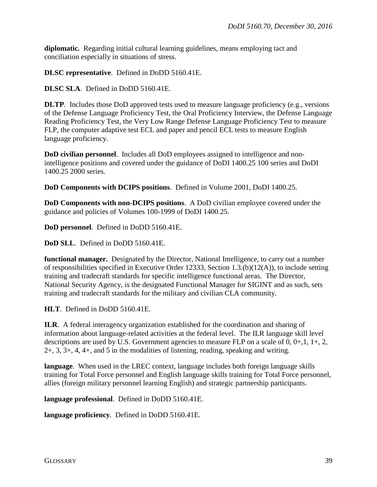**diplomatic***.* Regarding initial cultural learning guidelines, means employing tact and conciliation especially in situations of stress.

**DLSC representative**. Defined in DoDD 5160.41E.

**DLSC SLA**. Defined in DoDD 5160.41E.

**DLTP**. Includes those DoD approved tests used to measure language proficiency (e.g., versions of the Defense Language Proficiency Test, the Oral Proficiency Interview, the Defense Language Reading Proficiency Test, the Very Low Range Defense Language Proficiency Test to measure FLP, the computer adaptive test ECL and paper and pencil ECL tests to measure English language proficiency.

**DoD civilian personnel**. Includes all DoD employees assigned to intelligence and nonintelligence positions and covered under the guidance of DoDI 1400.25 100 series and DoDI 1400.25 2000 series.

**DoD Components with DCIPS positions**. Defined in Volume 2001, DoDI 1400.25.

**DoD Components with non-DCIPS positions**. A DoD civilian employee covered under the guidance and policies of Volumes 100-1999 of DoDI 1400.25.

**DoD personnel**. Defined in DoDD 5160.41E.

**DoD SLL**. Defined in DoDD 5160.41E.

**functional manager.** Designated by the Director, National Intelligence, to carry out a number of responsibilities specified in Executive Order 12333, Section 1.3.(b)(12(A)), to include setting training and tradecraft standards for specific intelligence functional areas. The Director, National Security Agency, is the designated Functional Manager for SIGINT and as such, sets training and tradecraft standards for the military and civilian CLA community.

**HLT**. Defined in DoDD 5160.41E.

**ILR**. A federal interagency organization established for the coordination and sharing of information about language-related activities at the federal level. The ILR language skill level descriptions are used by U.S. Government agencies to measure FLP on a scale of  $0, 0+, 1, 1+, 2,$ 2+, 3, 3+, 4, 4+, and 5 in the modalities of listening, reading, speaking and writing.

**language**. When used in the LREC context, language includes both foreign language skills training for Total Force personnel and English language skills training for Total Force personnel, allies (foreign military personnel learning English) and strategic partnership participants.

**language professional**. Defined in DoDD 5160.41E.

**language proficiency**. Defined in DoDD 5160.41E.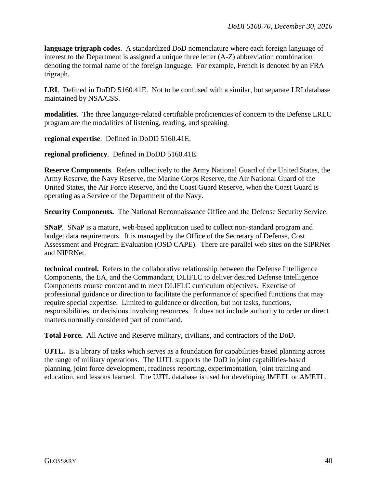**language trigraph codes**. A standardized DoD nomenclature where each foreign language of interest to the Department is assigned a unique three letter (A-Z) abbreviation combination denoting the formal name of the foreign language. For example, French is denoted by an FRA trigraph.

**LRI**. Defined in DoDD 5160.41E. Not to be confused with a similar, but separate LRI database maintained by NSA/CSS.

**modalities**. The three language-related certifiable proficiencies of concern to the Defense LREC program are the modalities of listening, reading, and speaking.

**regional expertise**. Defined in DoDD 5160.41E.

**regional proficiency**. Defined in DoDD 5160.41E.

**Reserve Components**. Refers collectively to the Army National Guard of the United States, the Army Reserve, the Navy Reserve, the Marine Corps Reserve, the Air National Guard of the United States, the Air Force Reserve, and the Coast Guard Reserve, when the Coast Guard is operating as a Service of the Department of the Navy.

**Security Components.** The National Reconnaissance Office and the Defense Security Service.

**SNaP**. SNaP is a mature, web-based application used to collect non-standard program and budget data requirements. It is managed by the Office of the Secretary of Defense, Cost Assessment and Program Evaluation (OSD CAPE). There are parallel web sites on the SIPRNet and NIPRNet.

**technical control.** Refers to the collaborative relationship between the Defense Intelligence Components, the EA, and the Commandant, DLIFLC to deliver desired Defense Intelligence Components course content and to meet DLIFLC curriculum objectives. Exercise of professional guidance or direction to facilitate the performance of specified functions that may require special expertise. Limited to guidance or direction, but not tasks, functions, responsibilities, or decisions involving resources. It does not include authority to order or direct matters normally considered part of command.

**Total Force.** All Active and Reserve military, civilians, and contractors of the DoD.

**UJTL.** Is a library of tasks which serves as a foundation for capabilities-based planning across the range of military operations. The UJTL supports the DoD in joint capabilities-based planning, joint force development, readiness reporting, experimentation, joint training and education, and lessons learned. The UJTL database is used for developing JMETL or AMETL.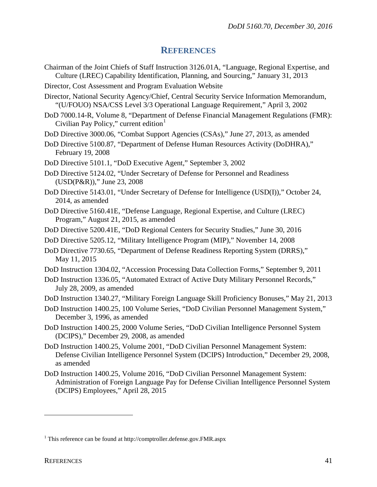### **REFERENCES**

- <span id="page-40-0"></span>Chairman of the Joint Chiefs of Staff Instruction 3126.01A, "Language, Regional Expertise, and Culture (LREC) Capability Identification, Planning, and Sourcing," January 31, 2013
- Director, Cost Assessment and Program Evaluation Website
- Director, National Security Agency/Chief, Central Security Service Information Memorandum, "(U/FOUO) NSA/CSS Level 3/3 Operational Language Requirement," April 3, 2002
- DoD 7000.14-R, Volume 8, "Department of Defense Financial Management Regulations (FMR): Civilian Pay Policy," current edition $1$
- DoD Directive 3000.06, "Combat Support Agencies (CSAs)," June 27, 2013, as amended
- DoD Directive 5100.87, "Department of Defense Human Resources Activity (DoDHRA)," February 19, 2008
- DoD Directive 5101.1, "DoD Executive Agent," September 3, 2002
- DoD Directive 5124.02, "Under Secretary of Defense for Personnel and Readiness (USD(P&R))," June 23, 2008
- DoD Directive 5143.01, "Under Secretary of Defense for Intelligence (USD(I))," October 24, 2014, as amended
- DoD Directive 5160.41E, "Defense Language, Regional Expertise, and Culture (LREC) Program," August 21, 2015, as amended
- DoD Directive 5200.41E, "DoD Regional Centers for Security Studies," June 30, 2016
- DoD Directive 5205.12, "Military Intelligence Program (MIP)," November 14, 2008
- DoD Directive 7730.65, "Department of Defense Readiness Reporting System (DRRS)," May 11, 2015
- DoD Instruction 1304.02, "Accession Processing Data Collection Forms," September 9, 2011
- DoD Instruction 1336.05, "Automated Extract of Active Duty Military Personnel Records," July 28, 2009, as amended
- DoD Instruction 1340.27, "Military Foreign Language Skill Proficiency Bonuses," May 21, 2013
- DoD Instruction 1400.25, 100 Volume Series, "DoD Civilian Personnel Management System," December 3, 1996, as amended
- DoD Instruction 1400.25, 2000 Volume Series, "DoD Civilian Intelligence Personnel System (DCIPS)," December 29, 2008, as amended
- DoD Instruction 1400.25, Volume 2001, "DoD Civilian Personnel Management System: Defense Civilian Intelligence Personnel System (DCIPS) Introduction," December 29, 2008, as amended
- DoD Instruction 1400.25, Volume 2016, "DoD Civilian Personnel Management System: Administration of Foreign Language Pay for Defense Civilian Intelligence Personnel System (DCIPS) Employees," April 28, 2015

 $\overline{a}$ 

<span id="page-40-1"></span><sup>&</sup>lt;sup>1</sup> This reference can be found at http://comptroller.defense.gov.FMR.aspx